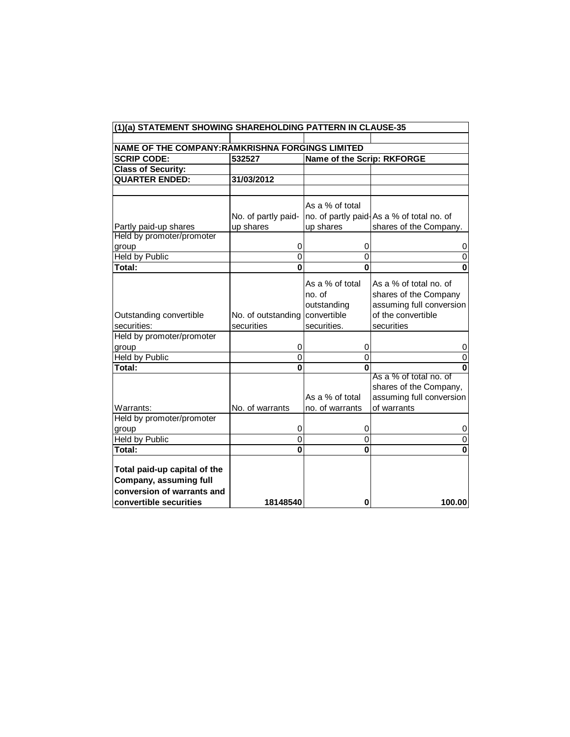| (1)(a) STATEMENT SHOWING SHAREHOLDING PATTERN IN CLAUSE-35                                                      |                                                              |                                                                                                                       |                                                                                                                                                                                                                |  |  |  |  |
|-----------------------------------------------------------------------------------------------------------------|--------------------------------------------------------------|-----------------------------------------------------------------------------------------------------------------------|----------------------------------------------------------------------------------------------------------------------------------------------------------------------------------------------------------------|--|--|--|--|
|                                                                                                                 |                                                              |                                                                                                                       |                                                                                                                                                                                                                |  |  |  |  |
| NAME OF THE COMPANY: RAMKRISHNA FORGINGS LIMITED                                                                |                                                              |                                                                                                                       |                                                                                                                                                                                                                |  |  |  |  |
| <b>SCRIP CODE:</b>                                                                                              | 532527                                                       | Name of the Scrip: RKFORGE                                                                                            |                                                                                                                                                                                                                |  |  |  |  |
| <b>Class of Security:</b>                                                                                       |                                                              |                                                                                                                       |                                                                                                                                                                                                                |  |  |  |  |
| <b>QUARTER ENDED:</b>                                                                                           | 31/03/2012                                                   |                                                                                                                       |                                                                                                                                                                                                                |  |  |  |  |
|                                                                                                                 |                                                              |                                                                                                                       |                                                                                                                                                                                                                |  |  |  |  |
|                                                                                                                 |                                                              | As a % of total                                                                                                       |                                                                                                                                                                                                                |  |  |  |  |
|                                                                                                                 | No. of partly paid-                                          |                                                                                                                       | no. of partly paid-As a % of total no. of                                                                                                                                                                      |  |  |  |  |
| Partly paid-up shares                                                                                           | up shares                                                    | up shares                                                                                                             | shares of the Company.                                                                                                                                                                                         |  |  |  |  |
| Held by promoter/promoter                                                                                       |                                                              |                                                                                                                       |                                                                                                                                                                                                                |  |  |  |  |
| group                                                                                                           | 0                                                            | 0                                                                                                                     | 0                                                                                                                                                                                                              |  |  |  |  |
| <b>Held by Public</b>                                                                                           | $\overline{0}$                                               | $\overline{0}$                                                                                                        | 0                                                                                                                                                                                                              |  |  |  |  |
| <b>Total:</b>                                                                                                   | $\mathbf 0$                                                  | $\bf{0}$                                                                                                              | 0                                                                                                                                                                                                              |  |  |  |  |
| Outstanding convertible<br>securities:<br>Held by promoter/promoter<br>group<br><b>Held by Public</b><br>Total: | No. of outstanding<br>securities<br>0<br>$\overline{0}$<br>O | As a % of total<br>no. of<br>outstanding<br>convertible<br>securities.<br>0<br>$\overline{0}$<br>U<br>As a % of total | As a % of total no. of<br>shares of the Company<br>assuming full conversion<br>of the convertible<br>securities<br>O<br>0<br>ŋ<br>As a % of total no. of<br>shares of the Company,<br>assuming full conversion |  |  |  |  |
| Warrants:                                                                                                       | No. of warrants                                              | no. of warrants                                                                                                       | of warrants                                                                                                                                                                                                    |  |  |  |  |
| Held by promoter/promoter                                                                                       | 0                                                            | 0                                                                                                                     |                                                                                                                                                                                                                |  |  |  |  |
| group<br><b>Held by Public</b>                                                                                  | $\overline{0}$                                               | $\overline{0}$                                                                                                        | 0<br>0                                                                                                                                                                                                         |  |  |  |  |
| Total:                                                                                                          | $\overline{\mathbf{0}}$                                      | $\overline{\mathbf{0}}$                                                                                               | $\bf{0}$                                                                                                                                                                                                       |  |  |  |  |
| Total paid-up capital of the<br>Company, assuming full<br>conversion of warrants and<br>convertible securities  | 18148540                                                     | 0                                                                                                                     | 100.00                                                                                                                                                                                                         |  |  |  |  |
|                                                                                                                 |                                                              |                                                                                                                       |                                                                                                                                                                                                                |  |  |  |  |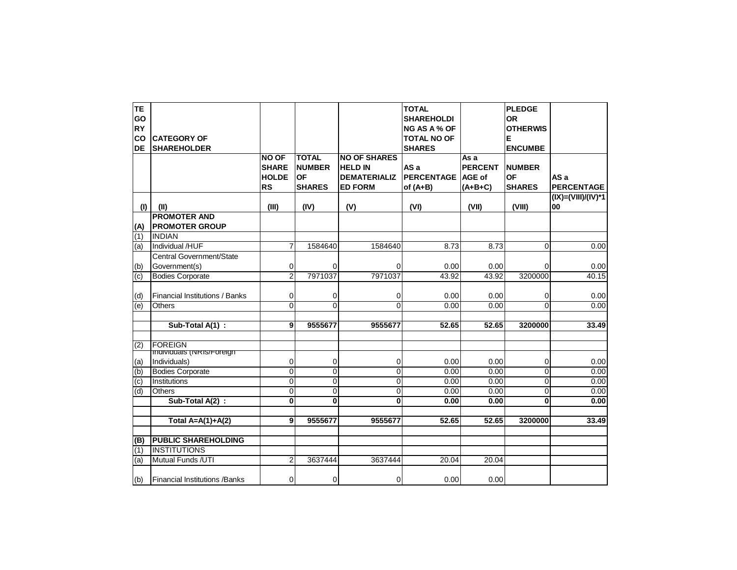| IΤE              |                                       |                |                |                     | <b>TOTAL</b>        |                | <b>PLEDGE</b>   |                    |
|------------------|---------------------------------------|----------------|----------------|---------------------|---------------------|----------------|-----------------|--------------------|
| GO               |                                       |                |                |                     | <b>SHAREHOLDI</b>   |                | OR              |                    |
| <b>RY</b>        |                                       |                |                |                     | <b>NG AS A % OF</b> |                | <b>OTHERWIS</b> |                    |
| <b>CO</b>        | <b>CATEGORY OF</b>                    |                |                |                     | <b>TOTAL NO OF</b>  |                | Е               |                    |
| <b>DE</b>        | <b>SHAREHOLDER</b>                    |                |                |                     | <b>SHARES</b>       |                | <b>ENCUMBE</b>  |                    |
|                  |                                       | <b>NO OF</b>   | <b>TOTAL</b>   | <b>NO OF SHARES</b> |                     | As a           |                 |                    |
|                  |                                       | <b>SHARE</b>   | <b>NUMBER</b>  | <b>HELD IN</b>      | AS a                | <b>PERCENT</b> | <b>NUMBER</b>   |                    |
|                  |                                       | <b>HOLDE</b>   | OF             | <b>DEMATERIALIZ</b> | PERCENTAGE          | <b>AGE of</b>  | ΟF              | AS a               |
|                  |                                       | <b>RS</b>      | <b>SHARES</b>  | <b>ED FORM</b>      | of $(A+B)$          | $(A+B+C)$      | <b>SHARES</b>   | <b>PERCENTAGE</b>  |
|                  |                                       |                |                |                     |                     |                |                 | (IX)=(VIII)/(IV)*1 |
| (1)              | (II)                                  | (III)          |                |                     |                     | (VII)          | (VIII)          | 00                 |
|                  | <b>PROMOTER AND</b>                   |                | (IV)           | (V)                 | (VI)                |                |                 |                    |
|                  |                                       |                |                |                     |                     |                |                 |                    |
| (A)              | <b>PROMOTER GROUP</b>                 |                |                |                     |                     |                |                 |                    |
| $\overline{(1)}$ | <b>INDIAN</b>                         |                |                |                     |                     |                |                 |                    |
| (a)              | Individual /HUF                       |                | 1584640        | 1584640             | 8.73                | 8.73           | 0               | 0.00               |
|                  | <b>Central Government/State</b>       |                |                |                     |                     |                |                 |                    |
| (b)              | Government(s)                         | 0              | 0              | 0                   | 0.00                | 0.00           | 0               | 0.00               |
| (c)              | <b>Bodies Corporate</b>               | 2              | 7971037        | 7971037             | 43.92               | 43.92          | 3200000         | 40.15              |
|                  |                                       |                |                |                     |                     |                |                 |                    |
| (d)              | <b>Financial Institutions / Banks</b> | 0              | 0              | 0                   | 0.00                | 0.00           | 0               | 0.00               |
| (e)              | Others                                | 0              | 0              | $\mathbf 0$         | 0.00                | 0.00           | $\overline{0}$  | 0.00               |
|                  |                                       |                |                |                     |                     |                |                 |                    |
|                  | Sub-Total A(1):                       | 9              | 9555677        | 9555677             | 52.65               | 52.65          | 3200000         | 33.49              |
| (2)              | <b>FOREIGN</b>                        |                |                |                     |                     |                |                 |                    |
|                  | <b>Individuals (INRIS/Foreign)</b>    |                |                |                     |                     |                |                 |                    |
| (a)              | Individuals)                          | 0              | 0              | 0                   | 0.00                | 0.00           | 0               | 0.00               |
| (b)              | <b>Bodies Corporate</b>               | $\overline{0}$ | $\overline{0}$ | Ō                   | 0.00                | 0.00           | $\overline{0}$  | 0.00               |
| (c)              | Institutions                          | 0              | 0              | $\mathbf 0$         | 0.00                | 0.00           | 0               | 0.00               |
| (d)              | <b>Others</b>                         | $\Omega$       | $\overline{0}$ | $\overline{0}$      | 0.00                | 0.00           | $\overline{0}$  | 0.00               |
|                  | Sub-Total A(2) :                      | O              | $\mathbf{0}$   | $\mathbf{0}$        | 0.00                | 0.00           | $\mathbf{0}$    | 0.00               |
|                  |                                       |                |                |                     |                     |                |                 |                    |
|                  | Total $A=A(1)+A(2)$                   | 9              | 9555677        | 9555677             | 52.65               | 52.65          | 3200000         | 33.49              |
|                  |                                       |                |                |                     |                     |                |                 |                    |
| (B)              | <b>PUBLIC SHAREHOLDING</b>            |                |                |                     |                     |                |                 |                    |
| (1)              | <b>INSTITUTIONS</b>                   |                |                |                     |                     |                |                 |                    |
| (a)              | Mutual Funds /UTI                     | $\overline{c}$ | 3637444        | 3637444             | 20.04               | 20.04          |                 |                    |
| (b)              | <b>Financial Institutions / Banks</b> | 0              | 0              | $\overline{0}$      | 0.00                | 0.00           |                 |                    |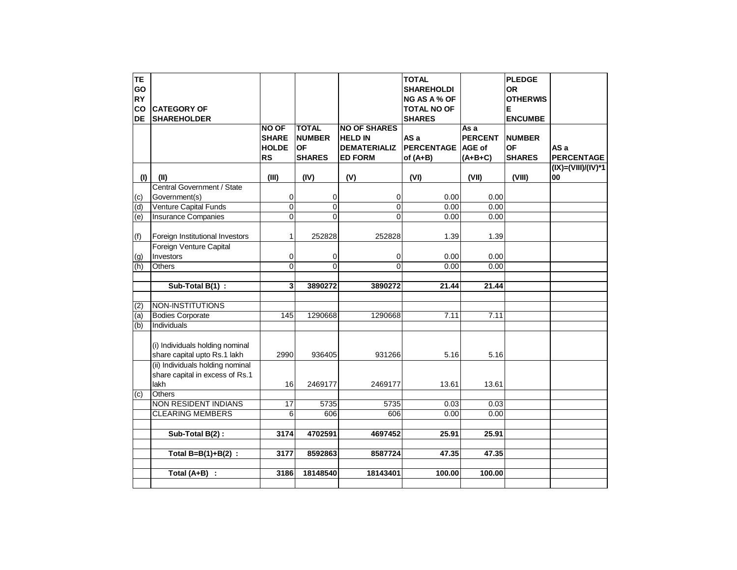| <b>TE</b>      |                                  |                |                |                     | <b>TOTAL</b>        |                | <b>PLEDGE</b>   |                         |
|----------------|----------------------------------|----------------|----------------|---------------------|---------------------|----------------|-----------------|-------------------------|
| GO             |                                  |                |                |                     | <b>SHAREHOLDI</b>   |                | <b>OR</b>       |                         |
| <b>RY</b>      |                                  |                |                |                     | <b>NG AS A % OF</b> |                | <b>OTHERWIS</b> |                         |
| co             | <b>CATEGORY OF</b>               |                |                |                     | <b>TOTAL NO OF</b>  |                | Е               |                         |
| DE             | <b>SHAREHOLDER</b>               |                |                |                     | <b>SHARES</b>       |                | <b>ENCUMBE</b>  |                         |
|                |                                  | <b>NO OF</b>   | <b>TOTAL</b>   | <b>NO OF SHARES</b> |                     | As a           |                 |                         |
|                |                                  | <b>SHARE</b>   | <b>NUMBER</b>  | <b>HELD IN</b>      | AS a                | <b>PERCENT</b> | <b>NUMBER</b>   |                         |
|                |                                  | <b>HOLDE</b>   | <b>OF</b>      | <b>DEMATERIALIZ</b> | <b>PERCENTAGE</b>   | <b>AGE of</b>  | ΟF              | AS a                    |
|                |                                  | <b>RS</b>      | <b>SHARES</b>  | <b>ED FORM</b>      | of $(A+B)$          | $(A+B+C)$      | <b>SHARES</b>   | <b>PERCENTAGE</b>       |
|                |                                  |                |                |                     |                     |                |                 | $(IX) = (VIII)/(IV)^*1$ |
| (1)            | (II)                             | (III)          | (IV)           | (V)                 | (VI)                | (VII)          | (VIII)          | 00                      |
|                | Central Government / State       |                |                |                     |                     |                |                 |                         |
| (c)            | Government(s)                    | 0              | 0              | $\overline{0}$      | 0.00                | 0.00           |                 |                         |
| (d)            | Venture Capital Funds            | $\overline{0}$ | $\overline{0}$ | $\overline{0}$      | 0.00                | 0.00           |                 |                         |
| (e)            | <b>Insurance Companies</b>       | $\overline{0}$ | $\Omega$       | $\Omega$            | 0.00                | 0.00           |                 |                         |
|                |                                  |                |                |                     |                     |                |                 |                         |
| (f)            | Foreign Institutional Investors  | 1              | 252828         | 252828              | 1.39                | 1.39           |                 |                         |
|                | Foreign Venture Capital          |                |                |                     |                     |                |                 |                         |
| (g)            | Investors                        | 0              | 0              | 0                   | 0.00                | 0.00           |                 |                         |
| (h)            | <b>Others</b>                    | 0              | 0              | $\Omega$            | 0.00                | 0.00           |                 |                         |
|                |                                  |                |                |                     |                     |                |                 |                         |
|                | Sub-Total B(1) :                 | 3              | 3890272        | 3890272             | 21.44               | 21.44          |                 |                         |
|                |                                  |                |                |                     |                     |                |                 |                         |
| (2)            | NON-INSTITUTIONS                 |                |                |                     |                     |                |                 |                         |
| (a)            | <b>Bodies Corporate</b>          | 145            | 1290668        | 1290668             | 7.11                | 7.11           |                 |                         |
| (b)            | Individuals                      |                |                |                     |                     |                |                 |                         |
|                |                                  |                |                |                     |                     |                |                 |                         |
|                | (i) Individuals holding nominal  |                |                |                     |                     |                |                 |                         |
|                | share capital upto Rs.1 lakh     | 2990           | 936405         | 931266              | 5.16                | 5.16           |                 |                         |
|                | (ii) Individuals holding nominal |                |                |                     |                     |                |                 |                         |
|                | share capital in excess of Rs.1  |                |                |                     |                     |                |                 |                         |
|                | lakh                             | 16             | 2469177        | 2469177             | 13.61               | 13.61          |                 |                         |
| $\overline{c}$ | <b>Others</b>                    |                |                |                     |                     |                |                 |                         |
|                | <b>NON RESIDENT INDIANS</b>      | 17             | 5735           | 5735                | 0.03                |                |                 |                         |
|                |                                  |                |                |                     |                     | 0.03           |                 |                         |
|                | <b>CLEARING MEMBERS</b>          | 6              | 606            | 606                 | 0.00                | 0.00           |                 |                         |
|                |                                  |                |                |                     |                     |                |                 |                         |
|                | Sub-Total B(2):                  | 3174           | 4702591        | 4697452             | 25.91               | 25.91          |                 |                         |
|                |                                  |                |                |                     |                     |                |                 |                         |
|                | Total $B=B(1)+B(2)$ :            | 3177           | 8592863        | 8587724             | 47.35               | 47.35          |                 |                         |
|                |                                  |                |                |                     |                     |                |                 |                         |
|                | Total $(A+B)$ :                  | 3186           | 18148540       | 18143401            | 100.00              | 100.00         |                 |                         |
|                |                                  |                |                |                     |                     |                |                 |                         |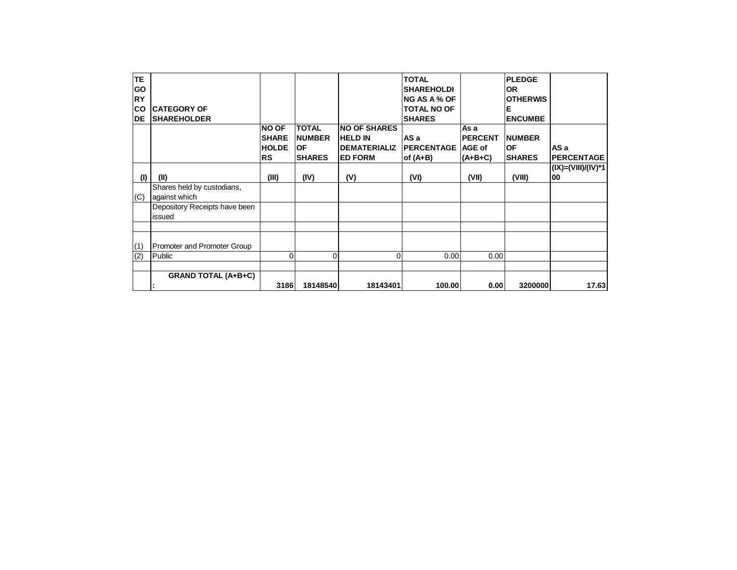| IтE.      |                               |               |               |                      | <b>TOTAL</b>        |                | <b>PLEDGE</b>   |                    |
|-----------|-------------------------------|---------------|---------------|----------------------|---------------------|----------------|-----------------|--------------------|
| <b>GO</b> |                               |               |               |                      | <b>SHAREHOLDI</b>   |                | <b>OR</b>       |                    |
| <b>RY</b> |                               |               |               |                      | <b>NG AS A % OF</b> |                | <b>OTHERWIS</b> |                    |
| <b>CO</b> | <b>ICATEGORY OF</b>           |               |               |                      | <b>TOTAL NO OF</b>  |                | Е               |                    |
| DE        | <b>ISHAREHOLDER</b>           |               |               |                      | <b>SHARES</b>       |                | <b>ENCUMBE</b>  |                    |
|           |                               | <b>NO OF</b>  | <b>TOTAL</b>  | <b>NO OF SHARES</b>  |                     | As a           |                 |                    |
|           |                               | <b>ISHARE</b> | <b>NUMBER</b> | <b>HELD IN</b>       | AS a                | <b>PERCENT</b> | <b>NUMBER</b>   |                    |
|           |                               | <b>HOLDE</b>  | <b>OF</b>     | <b>IDEMATERIALIZ</b> | <b>PERCENTAGE</b>   | <b>AGE of</b>  | <b>OF</b>       | AS a               |
|           |                               | <b>RS</b>     | <b>SHARES</b> | <b>ED FORM</b>       | of $(A+B)$          | (A+B+C)        | <b>SHARES</b>   | <b>PERCENTAGE</b>  |
|           |                               |               |               |                      |                     |                |                 | (IX)=(VIII)/(IV)*1 |
| (1)       | (II)                          | (III)         | (IV)          | (V)                  | (VI)                | (VII)          | (VIII)          | 00                 |
|           | Shares held by custodians,    |               |               |                      |                     |                |                 |                    |
| (C)       | against which                 |               |               |                      |                     |                |                 |                    |
|           | Depository Receipts have been |               |               |                      |                     |                |                 |                    |
|           | issued                        |               |               |                      |                     |                |                 |                    |
|           |                               |               |               |                      |                     |                |                 |                    |
|           |                               |               |               |                      |                     |                |                 |                    |
| (1)       | Promoter and Promoter Group   |               |               |                      |                     |                |                 |                    |
| (2)       | Public                        | 0             | $\Omega$      | 0                    | 0.00                | 0.00           |                 |                    |
|           |                               |               |               |                      |                     |                |                 |                    |
|           | <b>GRAND TOTAL (A+B+C)</b>    |               |               |                      |                     |                |                 |                    |
|           |                               | 3186          | 18148540      | 18143401             | 100.00              | 0.00           | 3200000         | 17.63              |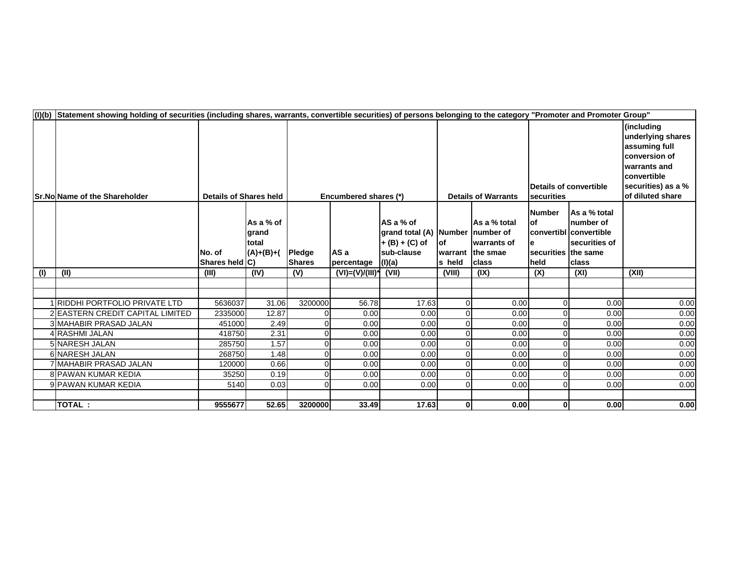| (I)(b) | Statement showing holding of securities (including shares, warrants, convertible securities) of persons belonging to the category "Promoter and Promoter Group" |                               |                                              |                                |                      |                                                                                          |                            |                                                                         |                                                      |                                                                               |                                                                                                                                            |
|--------|-----------------------------------------------------------------------------------------------------------------------------------------------------------------|-------------------------------|----------------------------------------------|--------------------------------|----------------------|------------------------------------------------------------------------------------------|----------------------------|-------------------------------------------------------------------------|------------------------------------------------------|-------------------------------------------------------------------------------|--------------------------------------------------------------------------------------------------------------------------------------------|
|        | <b>Sr.No Name of the Shareholder</b>                                                                                                                            | <b>Details of Shares held</b> |                                              | Encumbered shares (*)          |                      |                                                                                          | <b>Details of Warrants</b> |                                                                         | Details of convertible<br>securities                 |                                                                               | (including<br>underlying shares<br>assuming full<br>conversion of<br>warrants and<br>convertible<br>securities) as a %<br>of diluted share |
|        |                                                                                                                                                                 | INo. of<br>Shares held C)     | As a % of<br>grand<br>total<br>$(A)+(B)+(A)$ | <b>Pledge</b><br><b>Shares</b> | AS a<br>percentage   | AS a % of<br>grand total (A) Number number of<br>$+(B) + (C)$ of<br>sub-clause<br>(I)(a) | lof<br>s held              | <b>As a</b> % total<br>Iwarrants of<br>warrant the smae<br><b>class</b> | Number<br>lof<br>securities the same<br><b>Iheld</b> | As a % total<br>number of<br>convertibl convertible<br>securities of<br>class |                                                                                                                                            |
| (1)    | (II)                                                                                                                                                            | (III)                         | (IV)                                         | (V)                            | $(VI) = (V)/(III)^*$ | (VII)                                                                                    | (VIII)                     | (IX)                                                                    | (X)                                                  | (XI)                                                                          | (XII)                                                                                                                                      |
|        |                                                                                                                                                                 |                               |                                              |                                |                      |                                                                                          |                            |                                                                         |                                                      |                                                                               |                                                                                                                                            |
|        |                                                                                                                                                                 |                               |                                              |                                |                      |                                                                                          |                            |                                                                         |                                                      |                                                                               |                                                                                                                                            |
|        | 1 RIDDHI PORTFOLIO PRIVATE LTD                                                                                                                                  | 5636037                       | 31.06                                        | 3200000                        | 56.78                | 17.63                                                                                    | 0                          | 0.00                                                                    | 0                                                    | 0.00                                                                          | 0.00                                                                                                                                       |
|        | 2 EASTERN CREDIT CAPITAL LIMITED                                                                                                                                | 2335000                       | 12.87                                        |                                | 0.00                 | 0.00                                                                                     | $\Omega$                   | 0.00                                                                    | $\Omega$                                             | 0.00                                                                          | 0.00                                                                                                                                       |
|        | 3 MAHABIR PRASAD JALAN                                                                                                                                          | 451000                        | 2.49                                         | $\Omega$                       | 0.00                 | 0.00                                                                                     | $\Omega$                   | 0.00                                                                    | $\Omega$                                             | 0.00                                                                          | 0.00                                                                                                                                       |
|        | 4 RASHMI JALAN<br>5 NARESH JALAN                                                                                                                                | 418750                        | 2.31<br>1.57                                 | $\Omega$<br>$\Omega$           | 0.00                 | 0.00                                                                                     | $\Omega$<br>$\Omega$       | 0.00<br>0.00                                                            | 0<br>0                                               | 0.00<br>0.00                                                                  | 0.00<br>0.00                                                                                                                               |
|        | 6 NARESH JALAN                                                                                                                                                  | 285750<br>268750              | 1.48                                         | 0                              | 0.00<br>0.00         | 0.00<br>0.00                                                                             | 0                          | 0.00                                                                    | 0                                                    | 0.00                                                                          | 0.00                                                                                                                                       |
|        | 7 MAHABIR PRASAD JALAN                                                                                                                                          | 120000                        | 0.66                                         | $\Omega$                       | 0.00                 | 0.00                                                                                     | 0                          | 0.00                                                                    | 0                                                    | 0.00                                                                          | 0.00                                                                                                                                       |
|        | 8 PAWAN KUMAR KEDIA                                                                                                                                             | 35250                         | 0.19                                         | $\Omega$                       | 0.00                 | 0.00                                                                                     | $\Omega$                   | 0.00                                                                    | 0                                                    | 0.00                                                                          | 0.00                                                                                                                                       |
|        | 9 PAWAN KUMAR KEDIA                                                                                                                                             | 5140                          | 0.03                                         | $\Omega$                       | 0.00                 | 0.00                                                                                     | $\Omega$                   | 0.00                                                                    | $\Omega$                                             | 0.00                                                                          | 0.00                                                                                                                                       |
|        |                                                                                                                                                                 |                               |                                              |                                |                      |                                                                                          |                            |                                                                         |                                                      |                                                                               |                                                                                                                                            |
|        | <b>TOTAL:</b>                                                                                                                                                   | 9555677                       | 52.65                                        | 3200000                        | 33.49                | 17.63                                                                                    | $\mathbf{0}$               | 0.00                                                                    | 0                                                    | 0.00                                                                          | 0.00                                                                                                                                       |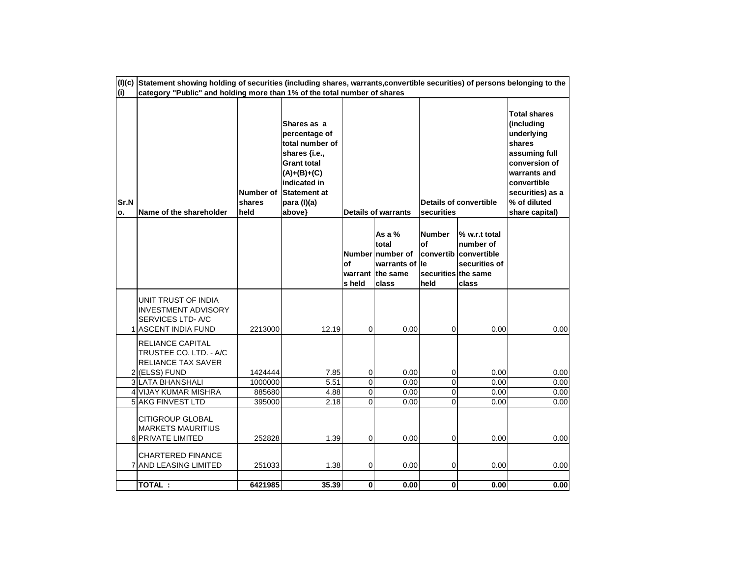| Sr.N<br>о. | Name of the shareholder                                                                                                                     | Number of<br>shares<br>held  | Shares as a<br>percentage of<br>total number of<br>shares {i.e.,<br><b>Grant total</b><br>$(A)+(B)+(C)$<br>indicated in<br><b>Statement at</b><br>para (I)(a)<br>above} |                | <b>Details of warrants</b>                                                           | securities                                         | <b>Details of convertible</b>                                                 | <b>Total shares</b><br>(including<br>underlying<br>shares<br>assuming full<br>conversion of<br>warrants and<br>convertible<br>securities) as a<br>% of diluted<br>share capital) |
|------------|---------------------------------------------------------------------------------------------------------------------------------------------|------------------------------|-------------------------------------------------------------------------------------------------------------------------------------------------------------------------|----------------|--------------------------------------------------------------------------------------|----------------------------------------------------|-------------------------------------------------------------------------------|----------------------------------------------------------------------------------------------------------------------------------------------------------------------------------|
|            |                                                                                                                                             |                              |                                                                                                                                                                         | of<br>s held   | As a $%$<br>total<br>Number number of<br>warrants of le<br>warrant the same<br>class | <b>Number</b><br>of<br>securities the same<br>held | % w.r.t total<br>number of<br>convertib convertible<br>securities of<br>class |                                                                                                                                                                                  |
|            | UNIT TRUST OF INDIA<br><b>INVESTMENT ADVISORY</b><br>SERVICES LTD-A/C<br><b>ASCENT INDIA FUND</b>                                           | 2213000                      | 12.19                                                                                                                                                                   | $\mathbf 0$    | 0.00                                                                                 | $\mathbf 0$                                        | 0.00                                                                          | 0.00                                                                                                                                                                             |
|            | <b>RELIANCE CAPITAL</b><br>TRUSTEE CO. LTD. - A/C<br>RELIANCE TAX SAVER<br>2 (ELSS) FUND<br><b>3 LATA BHANSHALI</b><br>4 VIJAY KUMAR MISHRA | 1424444<br>1000000<br>885680 | 7.85<br>5.51<br>4.88                                                                                                                                                    | 0<br>0<br>0    | 0.00<br>0.00<br>0.00                                                                 | $\pmb{0}$<br>$\overline{0}$<br>$\mathbf 0$         | 0.00<br>0.00<br>0.00                                                          | 0.00<br>0.00<br>0.00                                                                                                                                                             |
|            | <b>5 AKG FINVEST LTD</b>                                                                                                                    | 395000                       | 2.18                                                                                                                                                                    | $\overline{0}$ | 0.00                                                                                 | $\overline{0}$                                     | 0.00                                                                          | 0.00                                                                                                                                                                             |
|            | <b>CITIGROUP GLOBAL</b><br><b>MARKETS MAURITIUS</b><br>6 PRIVATE LIMITED                                                                    | 252828                       | 1.39                                                                                                                                                                    | 0              | 0.00                                                                                 | $\mathbf 0$                                        | 0.00                                                                          | 0.00                                                                                                                                                                             |
|            | <b>CHARTERED FINANCE</b><br>7 AND LEASING LIMITED                                                                                           | 251033                       | 1.38                                                                                                                                                                    | 0              | 0.00                                                                                 | $\pmb{0}$                                          | 0.00                                                                          | 0.00                                                                                                                                                                             |
|            | <b>TOTAL:</b>                                                                                                                               | 6421985                      | 35.39                                                                                                                                                                   | $\mathbf{0}$   | 0.00                                                                                 | $\mathbf{0}$                                       | 0.00                                                                          | 0.00                                                                                                                                                                             |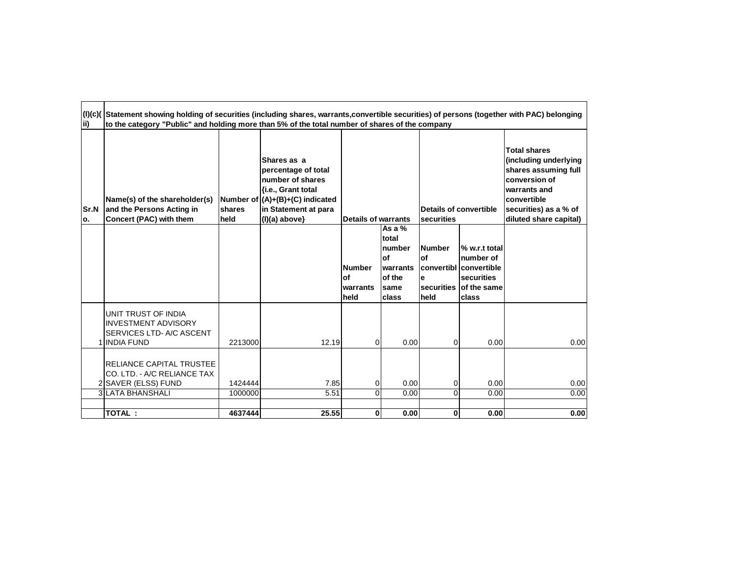| lii)               | (l)(c)( Statement showing holding of securities (including shares, warrants,convertible securities) of persons (together with PAC) belonging<br>to the category "Public" and holding more than 5% of the total number of shares of the company |                    |                                                                                                                                                            |                                          |                                                                           |                                                                |                                                                                              |                                                                                                                                                                                |
|--------------------|------------------------------------------------------------------------------------------------------------------------------------------------------------------------------------------------------------------------------------------------|--------------------|------------------------------------------------------------------------------------------------------------------------------------------------------------|------------------------------------------|---------------------------------------------------------------------------|----------------------------------------------------------------|----------------------------------------------------------------------------------------------|--------------------------------------------------------------------------------------------------------------------------------------------------------------------------------|
| <b>Sr.N</b><br>lo. | Name(s) of the shareholder(s)<br>and the Persons Acting in<br>Concert (PAC) with them                                                                                                                                                          | shares<br>held     | Shares as a<br>percentage of total<br>number of shares<br>{i.e., Grant total<br>Number of (A)+(B)+(C) indicated<br>in Statement at para<br>$(I)(a)$ above} | <b>Details of warrants</b>               |                                                                           | securities                                                     | Details of convertible                                                                       | <b>Total shares</b><br>(including underlying<br>shares assuming full<br>conversion of<br>warrants and<br><b>convertible</b><br>securities) as a % of<br>diluted share capital) |
|                    |                                                                                                                                                                                                                                                |                    |                                                                                                                                                            | <b>Number</b><br>of<br>warrants<br>lheld | As a $%$<br>total<br>number<br>lof<br>warrants<br>of the<br>same<br>class | <b>Number</b><br>lof<br>e<br><b>securities</b><br><b>Iheld</b> | % w.r.t total<br>number of<br>lconvertibl lconvertible<br>securities<br>of the same<br>class |                                                                                                                                                                                |
|                    | UNIT TRUST OF INDIA<br><b>INVESTMENT ADVISORY</b><br>SERVICES LTD- A/C ASCENT<br>1 INDIA FUND                                                                                                                                                  | 2213000            | 12.19                                                                                                                                                      | $\Omega$                                 | 0.00                                                                      | 0                                                              | 0.00                                                                                         | 0.00                                                                                                                                                                           |
|                    | <b>RELIANCE CAPITAL TRUSTEE</b><br>CO. LTD. - A/C RELIANCE TAX<br>2 SAVER (ELSS) FUND<br><b>3 LATA BHANSHALI</b>                                                                                                                               | 1424444<br>1000000 | 7.85<br>5.51                                                                                                                                               | 0<br>$\Omega$                            | 0.00<br>0.00                                                              | 0<br>0                                                         | 0.00<br>0.00                                                                                 | 0.00<br>0.00                                                                                                                                                                   |
|                    | TOTAL:                                                                                                                                                                                                                                         | 4637444            | 25.55                                                                                                                                                      | 0                                        | 0.00                                                                      | 0                                                              | 0.00                                                                                         | 0.00                                                                                                                                                                           |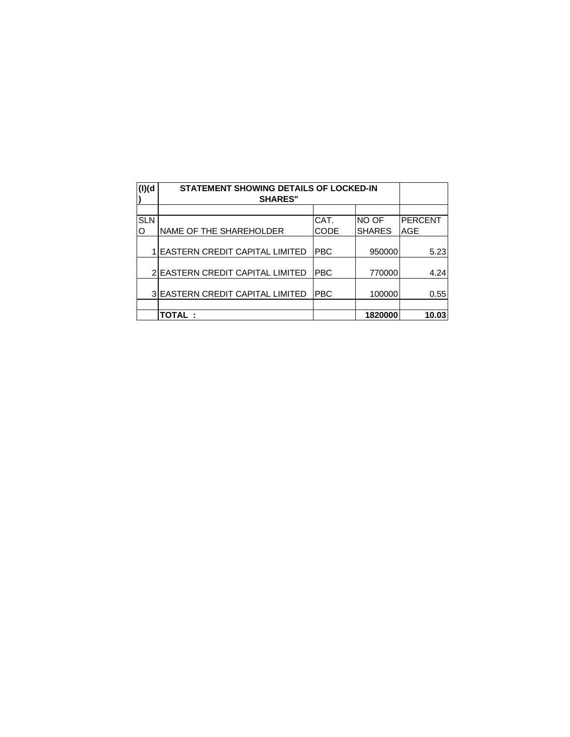| (I)(d)     | <b>STATEMENT SHOWING DETAILS OF LOCKED-IN</b><br><b>SHARES"</b> |            |               |                |
|------------|-----------------------------------------------------------------|------------|---------------|----------------|
|            |                                                                 |            |               |                |
| <b>SLN</b> |                                                                 | CAT.       | NO OF         | <b>PERCENT</b> |
| O          | NAME OF THE SHAREHOLDER                                         | CODE       | <b>SHARES</b> | AGE            |
|            | 1 EASTERN CREDIT CAPITAL LIMITED                                | <b>PBC</b> | 950000        | 5.23           |
|            | 2 EASTERN CREDIT CAPITAL LIMITED                                | <b>PBC</b> | 770000        | 4.24           |
|            | 3 EASTERN CREDIT CAPITAL LIMITED                                | <b>PBC</b> | 100000        | 0.55           |
|            |                                                                 |            |               |                |
|            | <b>TOTAL:</b>                                                   |            | 1820000       | 10.03          |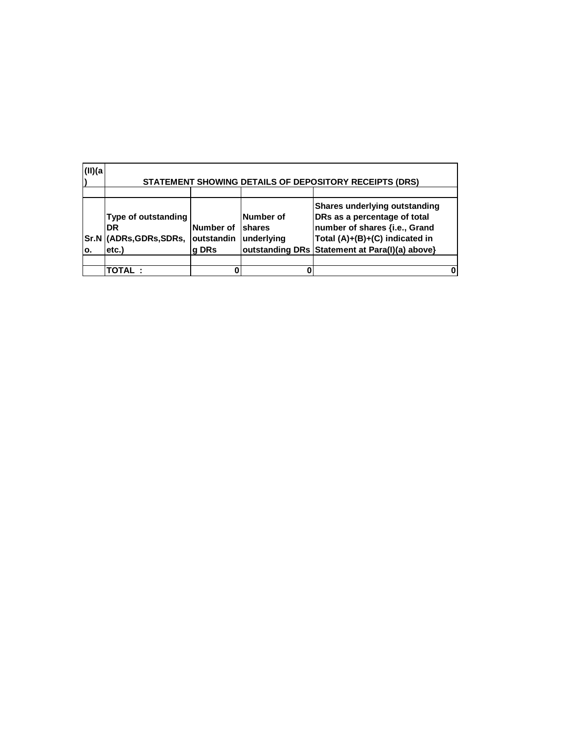| (II)(a)    |                                                                        |                                         |                                   | STATEMENT SHOWING DETAILS OF DEPOSITORY RECEIPTS (DRS)                                                                                                                                    |  |
|------------|------------------------------------------------------------------------|-----------------------------------------|-----------------------------------|-------------------------------------------------------------------------------------------------------------------------------------------------------------------------------------------|--|
| Sr.N<br>ο. | <b>Type of outstanding</b><br><b>DR</b><br>(ADRs, GDRs, SDRs,<br>etc.) | <b>Number of</b><br>outstandin<br>g DRs | Number of<br>shares<br>underlying | <b>Shares underlying outstanding</b><br>DRs as a percentage of total<br>number of shares {i.e., Grand<br>Total (A)+(B)+(C) indicated in<br>outstanding DRs Statement at Para(I)(a) above} |  |
|            | <b>TOTAL :</b>                                                         |                                         |                                   |                                                                                                                                                                                           |  |